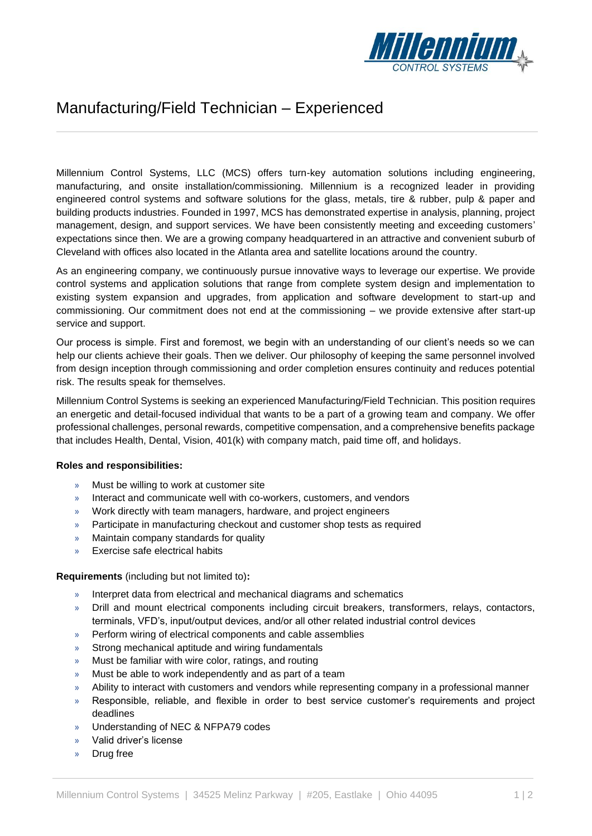

## Manufacturing/Field Technician – Experienced

Millennium Control Systems, LLC (MCS) offers turn-key automation solutions including engineering, manufacturing, and onsite installation/commissioning. Millennium is a recognized leader in providing engineered control systems and software solutions for the glass, metals, tire & rubber, pulp & paper and building products industries. Founded in 1997, MCS has demonstrated expertise in analysis, planning, project management, design, and support services. We have been consistently meeting and exceeding customers' expectations since then. We are a growing company headquartered in an attractive and convenient suburb of Cleveland with offices also located in the Atlanta area and satellite locations around the country.

As an engineering company, we continuously pursue innovative ways to leverage our expertise. We provide control systems and application solutions that range from complete system design and implementation to existing system expansion and upgrades, from application and software development to start-up and commissioning. Our commitment does not end at the commissioning – we provide extensive after start-up service and support.

Our process is simple. First and foremost, we begin with an understanding of our client's needs so we can help our clients achieve their goals. Then we deliver. Our philosophy of keeping the same personnel involved from design inception through commissioning and order completion ensures continuity and reduces potential risk. The results speak for themselves.

Millennium Control Systems is seeking an experienced Manufacturing/Field Technician. This position requires an energetic and detail-focused individual that wants to be a part of a growing team and company. We offer professional challenges, personal rewards, competitive compensation, and a comprehensive benefits package that includes Health, Dental, Vision, 401(k) with company match, paid time off, and holidays.

## **Roles and responsibilities:**

- » Must be willing to work at customer site
- » Interact and communicate well with co-workers, customers, and vendors
- » Work directly with team managers, hardware, and project engineers
- » Participate in manufacturing checkout and customer shop tests as required
- » Maintain company standards for quality
- » Exercise safe electrical habits

## **Requirements** (including but not limited to)**:**

- » Interpret data from electrical and mechanical diagrams and schematics
- » Drill and mount electrical components including circuit breakers, transformers, relays, contactors, terminals, VFD's, input/output devices, and/or all other related industrial control devices
- » Perform wiring of electrical components and cable assemblies
- » Strong mechanical aptitude and wiring fundamentals
- » Must be familiar with wire color, ratings, and routing
- » Must be able to work independently and as part of a team
- » Ability to interact with customers and vendors while representing company in a professional manner
- » Responsible, reliable, and flexible in order to best service customer's requirements and project deadlines
- » Understanding of NEC & NFPA79 codes
- » Valid driver's license
- » Drug free